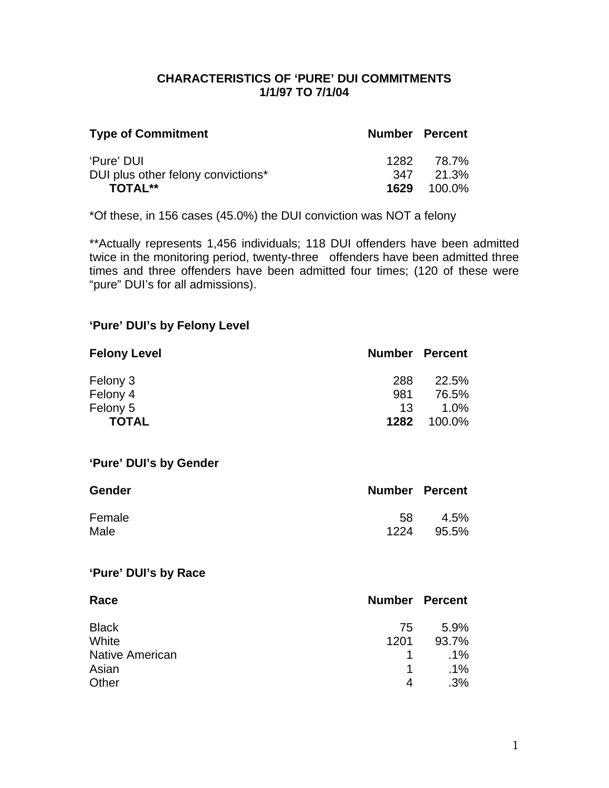## **CHARACTERISTICS OF 'PURE' DUI COMMITMENTS 1/1/97 TO 7/1/04**

| <b>Type of Commitment</b>          | <b>Number Percent</b> |                    |
|------------------------------------|-----------------------|--------------------|
| 'Pure' DUI                         | 1282                  | 78.7%              |
| DUI plus other felony convictions* |                       | 347 21.3%          |
| <b>TOTAL**</b>                     |                       | <b>1629</b> 100.0% |

\*Of these, in 156 cases (45.0%) the DUI conviction was NOT a felony

\*\*Actually represents 1,456 individuals; 118 DUI offenders have been admitted twice in the monitoring period, twenty-three offenders have been admitted three times and three offenders have been admitted four times; (120 of these were "pure" DUI's for all admissions).

## **'Pure' DUI's by Felony Level**

| <b>Felony Level</b> | <b>Number Percent</b> |         |
|---------------------|-----------------------|---------|
| Felony 3            | 288                   | 22.5%   |
| Felony 4            | 981                   | 76.5%   |
| Felony 5            | 13                    | $1.0\%$ |
| <b>TOTAL</b>        | 1282                  | 100.0%  |

#### **'Pure' DUI's by Gender**

| <b>Gender</b> | <b>Number Percent</b> |         |
|---------------|-----------------------|---------|
| Female        | 58                    | $4.5\%$ |
| Male          | 1224                  | 95.5%   |

## **'Pure' DUI's by Race**

| Race                   | <b>Number Percent</b> |        |
|------------------------|-----------------------|--------|
| <b>Black</b>           | 75                    | 5.9%   |
| White                  | 1201                  | 93.7%  |
| <b>Native American</b> |                       | $.1\%$ |
| Asian                  | 1                     | $.1\%$ |
| Other                  | 4                     | .3%    |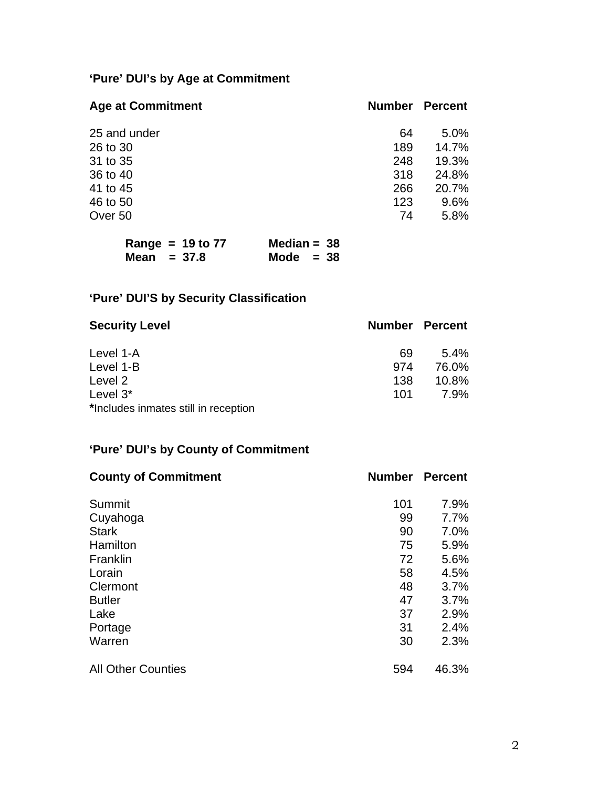# **'Pure' DUI's by Age at Commitment**

| <b>Age at Commitment</b> | <b>Number</b> | <b>Percent</b> |
|--------------------------|---------------|----------------|
| 25 and under             | 64            | 5.0%           |
| 26 to 30                 | 189           | 14.7%          |
| 31 to 35                 | 248           | 19.3%          |
| 36 to 40                 | 318           | 24.8%          |
| 41 to 45                 | 266           | 20.7%          |
| 46 to 50                 | 123           | 9.6%           |
| Over 50                  | 74            | 5.8%           |

| Range = $19$ to $77$ | Median = $38$ |
|----------------------|---------------|
| Mean $= 37.8$        | Mode $= 38$   |

# **'Pure' DUI'S by Security Classification**

| <b>Security Level</b>                |     | <b>Number Percent</b> |
|--------------------------------------|-----|-----------------------|
| Level 1-A                            | 69  | $5.4\%$               |
| Level 1-B                            | 974 | 76.0%                 |
| Level 2                              | 138 | $10.8\%$              |
| Level $3^*$                          | 101 | 7.9%                  |
| *Includes inmates still in reception |     |                       |

# **'Pure' DUI's by County of Commitment**

| <b>County of Commitment</b> | <b>Number</b> | <b>Percent</b> |
|-----------------------------|---------------|----------------|
| Summit                      | 101           | 7.9%           |
| Cuyahoga                    | 99            | 7.7%           |
| <b>Stark</b>                | 90            | 7.0%           |
| Hamilton                    | 75            | 5.9%           |
| Franklin                    | 72            | 5.6%           |
| Lorain                      | 58            | 4.5%           |
| Clermont                    | 48            | 3.7%           |
| <b>Butler</b>               | 47            | 3.7%           |
| Lake                        | 37            | 2.9%           |
| Portage                     | 31            | 2.4%           |
| Warren                      | 30            | 2.3%           |
| <b>All Other Counties</b>   | 594           | 46.3%          |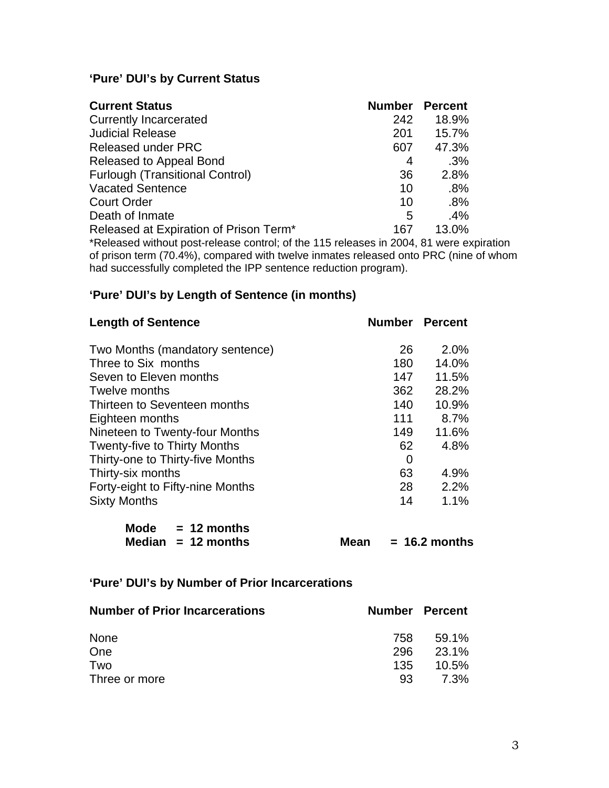## **'Pure' DUI's by Current Status**

| <b>Current Status</b>                                                           | <b>Number</b> | <b>Percent</b> |
|---------------------------------------------------------------------------------|---------------|----------------|
| <b>Currently Incarcerated</b>                                                   | 242           | 18.9%          |
| <b>Judicial Release</b>                                                         | 201           | 15.7%          |
| <b>Released under PRC</b>                                                       | 607           | 47.3%          |
| Released to Appeal Bond                                                         | 4             | .3%            |
| <b>Furlough (Transitional Control)</b>                                          | 36            | 2.8%           |
| <b>Vacated Sentence</b>                                                         | 10            | $.8\%$         |
| <b>Court Order</b>                                                              | 10            | .8%            |
| Death of Inmate                                                                 | 5             | $.4\%$         |
| Released at Expiration of Prison Term*                                          | 167           | 13.0%          |
| *Released without post-release control: of the 115 releases in 2004 81 were exp |               |                |

\*Released without post-release control; of the 115 releases in 2004, 81 were expiration of prison term (70.4%), compared with twelve inmates released onto PRC (nine of whom had successfully completed the IPP sentence reduction program).

## **'Pure' DUI's by Length of Sentence (in months)**

| <b>Length of Sentence</b>           | <b>Number Percent</b> |       |
|-------------------------------------|-----------------------|-------|
| Two Months (mandatory sentence)     | 26                    | 2.0%  |
| Three to Six months                 | 180                   | 14.0% |
| Seven to Eleven months              | 147                   | 11.5% |
| Twelve months                       | 362                   | 28.2% |
| Thirteen to Seventeen months        | 140                   | 10.9% |
| Eighteen months                     | 111                   | 8.7%  |
| Nineteen to Twenty-four Months      | 149                   | 11.6% |
| <b>Twenty-five to Thirty Months</b> | 62                    | 4.8%  |
| Thirty-one to Thirty-five Months    | 0                     |       |
| Thirty-six months                   | 63                    | 4.9%  |
| Forty-eight to Fifty-nine Months    | 28                    | 2.2%  |
| <b>Sixty Months</b>                 | 14                    | 1.1%  |

| <b>Mode</b> | $= 12$ months        |
|-------------|----------------------|
|             | Median $= 12$ months |

 $Mean = 16.2 months$ 

## **'Pure' DUI's by Number of Prior Incarcerations**

| <b>Number of Prior Incarcerations</b> |      | <b>Number Percent</b> |
|---------------------------------------|------|-----------------------|
| <b>None</b>                           | 758. | 59.1%                 |
| One                                   | 296  | 23.1%                 |
| Two                                   | 135  | 10.5%                 |
| Three or more                         | 93   | 7.3%                  |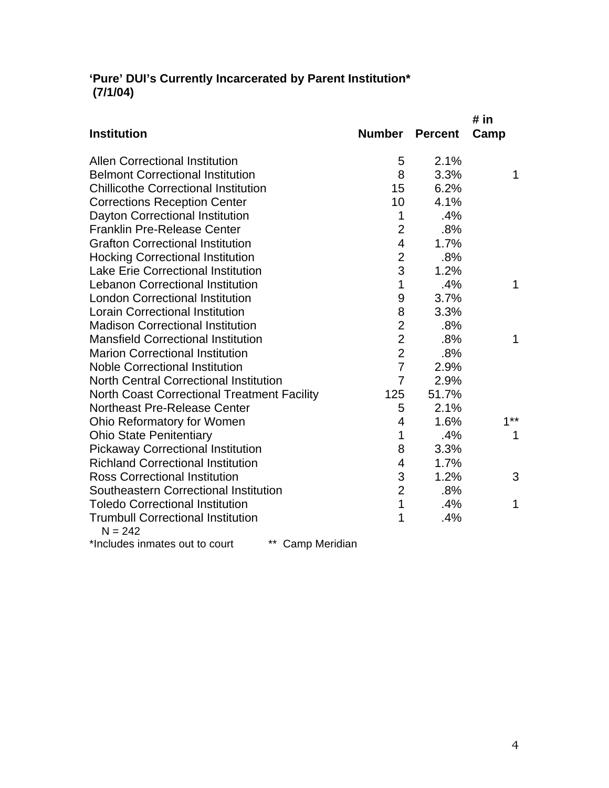## **'Pure' DUI's Currently Incarcerated by Parent Institution\* (7/1/04)**

|                                                       |                |                | # in   |
|-------------------------------------------------------|----------------|----------------|--------|
| <b>Institution</b>                                    | <b>Number</b>  | <b>Percent</b> | Camp   |
| <b>Allen Correctional Institution</b>                 | 5              | 2.1%           |        |
| <b>Belmont Correctional Institution</b>               | 8              | 3.3%           | 1      |
| <b>Chillicothe Correctional Institution</b>           | 15             | 6.2%           |        |
| <b>Corrections Reception Center</b>                   | 10             | 4.1%           |        |
| Dayton Correctional Institution                       | 1              | .4%            |        |
| <b>Franklin Pre-Release Center</b>                    | $\overline{2}$ | .8%            |        |
| <b>Grafton Correctional Institution</b>               | $\overline{4}$ | 1.7%           |        |
| <b>Hocking Correctional Institution</b>               | $\overline{2}$ | .8%            |        |
| <b>Lake Erie Correctional Institution</b>             | 3              | 1.2%           |        |
| <b>Lebanon Correctional Institution</b>               | 1              | .4%            | 1      |
| <b>London Correctional Institution</b>                | 9              | 3.7%           |        |
| <b>Lorain Correctional Institution</b>                | 8              | 3.3%           |        |
| <b>Madison Correctional Institution</b>               | $\overline{2}$ | .8%            |        |
| <b>Mansfield Correctional Institution</b>             | $\overline{2}$ | .8%            | 1      |
| <b>Marion Correctional Institution</b>                | $\overline{2}$ | .8%            |        |
| <b>Noble Correctional Institution</b>                 | $\overline{7}$ | 2.9%           |        |
| <b>North Central Correctional Institution</b>         | $\overline{7}$ | 2.9%           |        |
| <b>North Coast Correctional Treatment Facility</b>    | 125            | 51.7%          |        |
| Northeast Pre-Release Center                          | 5              | 2.1%           |        |
| Ohio Reformatory for Women                            | 4              | 1.6%           | $1***$ |
| <b>Ohio State Penitentiary</b>                        | 1              | .4%            | 1      |
| <b>Pickaway Correctional Institution</b>              | 8              | 3.3%           |        |
| <b>Richland Correctional Institution</b>              | 4              | 1.7%           |        |
| <b>Ross Correctional Institution</b>                  | 3              | 1.2%           | 3      |
| Southeastern Correctional Institution                 | $\overline{2}$ | .8%            |        |
| <b>Toledo Correctional Institution</b>                | $\overline{1}$ | .4%            | 1      |
| <b>Trumbull Correctional Institution</b><br>$N = 242$ | 1              | .4%            |        |
|                                                       |                |                |        |

\*Includes inmates out to court \*\* Camp Meridian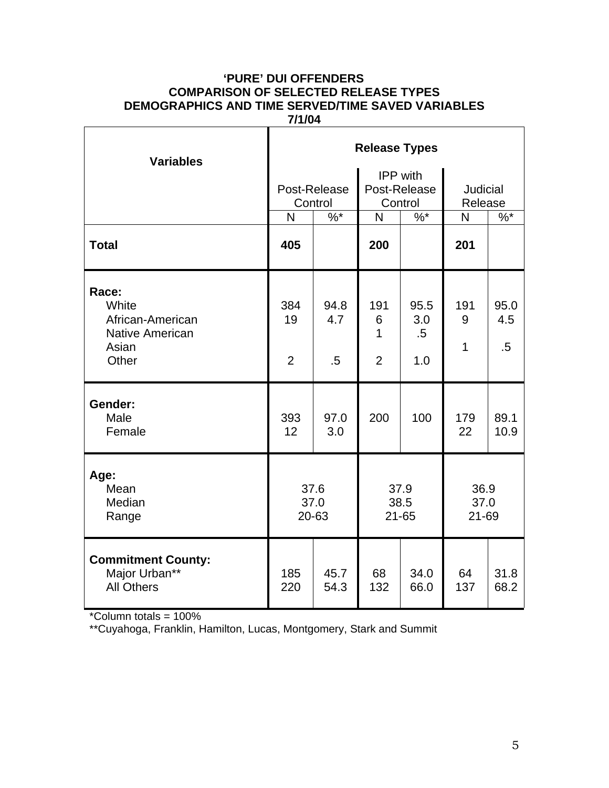### **'PURE' DUI OFFENDERS COMPARISON OF SELECTED RELEASE TYPES DEMOGRAPHICS AND TIME SERVED/TIME SAVED VARIABLES 7/1/04**

| <b>Variables</b>                                                               | <b>Release Types</b>        |                         |                                            |                                            |                            |                       |  |
|--------------------------------------------------------------------------------|-----------------------------|-------------------------|--------------------------------------------|--------------------------------------------|----------------------------|-----------------------|--|
|                                                                                |                             | Post-Release<br>Control |                                            | <b>IPP</b> with<br>Post-Release<br>Control | <b>Judicial</b><br>Release |                       |  |
|                                                                                | $\overline{\mathsf{N}}$     | $\frac{9}{6}$           | N                                          | $\frac{9}{6}$                              | N                          | $%$ *                 |  |
| <b>Total</b>                                                                   | 405                         |                         | 200                                        |                                            | 201                        |                       |  |
| Race:<br>White<br>African-American<br><b>Native American</b><br>Asian<br>Other | 384<br>19<br>$\overline{2}$ | 94.8<br>4.7<br>$.5\,$   | 191<br>6<br>$\mathbf{1}$<br>$\overline{2}$ | 95.5<br>3.0<br>$.5\,$<br>1.0               | 191<br>9<br>1              | 95.0<br>4.5<br>$.5\,$ |  |
| Gender:<br>Male<br>Female                                                      | 393<br>12                   | 97.0<br>3.0             | 200                                        | 100                                        | 179<br>22                  | 89.1<br>10.9          |  |
| Age:<br>Mean<br>Median<br>Range                                                | 37.6<br>37.0<br>20-63       |                         | 37.9<br>38.5<br>$21 - 65$                  |                                            | 36.9<br>37.0<br>21-69      |                       |  |
| <b>Commitment County:</b><br>Major Urban**<br><b>All Others</b>                | 185<br>220                  | 45.7<br>54.3            | 68<br>132                                  | 34.0<br>66.0                               | 64<br>137                  | 31.8<br>68.2          |  |

\*Column totals = 100%

\*\*Cuyahoga, Franklin, Hamilton, Lucas, Montgomery, Stark and Summit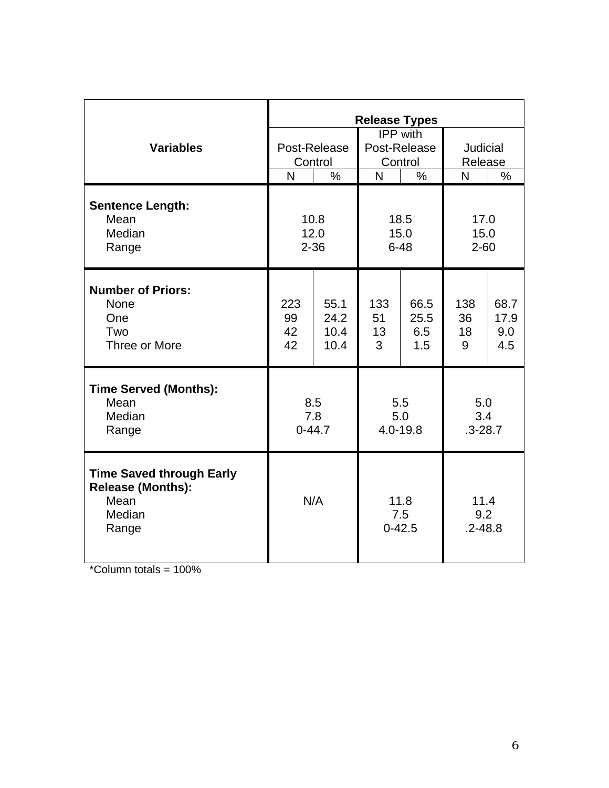|                                                                                        | <b>Release Types</b>     |                              |                                            |                            |                            |                            |
|----------------------------------------------------------------------------------------|--------------------------|------------------------------|--------------------------------------------|----------------------------|----------------------------|----------------------------|
| <b>Variables</b>                                                                       | Post-Release<br>Control  |                              | <b>IPP</b> with<br>Post-Release<br>Control |                            | Judicial<br>Release        |                            |
|                                                                                        | $\overline{\mathsf{N}}$  | $\frac{0}{0}$                | N                                          | $\%$                       | N                          | $\%$                       |
| <b>Sentence Length:</b><br>Mean<br>Median<br>Range                                     | 10.8<br>12.0<br>$2 - 36$ |                              | 18.5<br>15.0<br>$6 - 48$                   |                            | 17.0<br>15.0<br>$2 - 60$   |                            |
| <b>Number of Priors:</b><br><b>None</b><br>One<br>Two<br>Three or More                 | 223<br>99<br>42<br>42    | 55.1<br>24.2<br>10.4<br>10.4 | 133<br>51<br>13<br>3                       | 66.5<br>25.5<br>6.5<br>1.5 | 138<br>36<br>18<br>9       | 68.7<br>17.9<br>9.0<br>4.5 |
| <b>Time Served (Months):</b><br>Mean<br>Median<br>Range                                | 8.5<br>7.8<br>$0 - 44.7$ |                              | 5.5<br>5.0<br>$4.0 - 19.8$                 |                            | 5.0<br>3.4<br>$.3 - 28.7$  |                            |
| <b>Time Saved through Early</b><br><b>Release (Months):</b><br>Mean<br>Median<br>Range | N/A                      |                              | 11.8<br>7.5<br>$0 - 42.5$                  |                            | 11.4<br>9.2<br>$.2 - 48.8$ |                            |

 $*$ Column totals = 100%